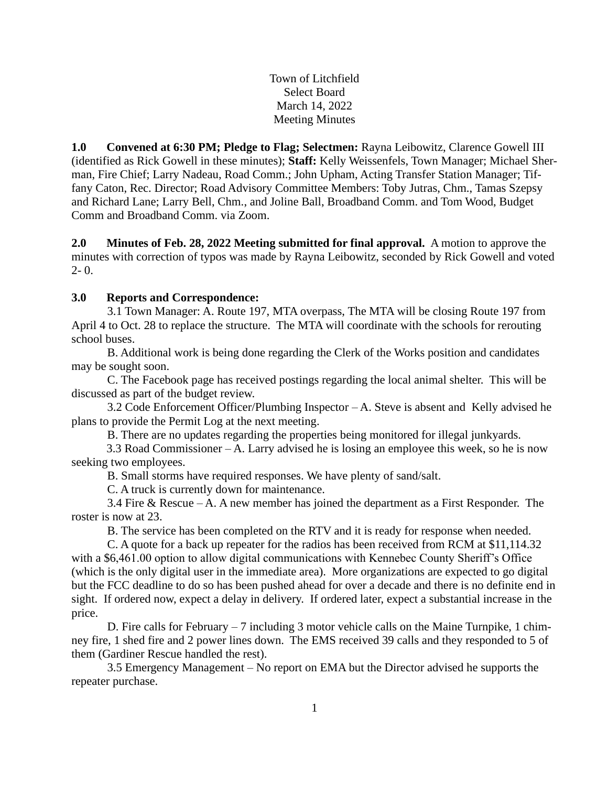Town of Litchfield Select Board March 14, 2022 Meeting Minutes

**1.0 Convened at 6:30 PM; Pledge to Flag; Selectmen:** Rayna Leibowitz, Clarence Gowell III (identified as Rick Gowell in these minutes); **Staff:** Kelly Weissenfels, Town Manager; Michael Sherman, Fire Chief; Larry Nadeau, Road Comm.; John Upham, Acting Transfer Station Manager; Tiffany Caton, Rec. Director; Road Advisory Committee Members: Toby Jutras, Chm., Tamas Szepsy and Richard Lane; Larry Bell, Chm., and Joline Ball, Broadband Comm. and Tom Wood, Budget Comm and Broadband Comm. via Zoom.

**2.0 Minutes of Feb. 28, 2022 Meeting submitted for final approval.** A motion to approve the minutes with correction of typos was made by Rayna Leibowitz, seconded by Rick Gowell and voted  $2 - 0$ .

## **3.0 Reports and Correspondence:**

3.1 Town Manager: A. Route 197, MTA overpass, The MTA will be closing Route 197 from April 4 to Oct. 28 to replace the structure. The MTA will coordinate with the schools for rerouting school buses.

B. Additional work is being done regarding the Clerk of the Works position and candidates may be sought soon.

C. The Facebook page has received postings regarding the local animal shelter. This will be discussed as part of the budget review.

3.2 Code Enforcement Officer/Plumbing Inspector – A. Steve is absent and Kelly advised he plans to provide the Permit Log at the next meeting.

B. There are no updates regarding the properties being monitored for illegal junkyards.

3.3 Road Commissioner – A. Larry advised he is losing an employee this week, so he is now seeking two employees.

B. Small storms have required responses. We have plenty of sand/salt.

C. A truck is currently down for maintenance.

3.4 Fire & Rescue – A. A new member has joined the department as a First Responder. The roster is now at 23.

B. The service has been completed on the RTV and it is ready for response when needed.

C. A quote for a back up repeater for the radios has been received from RCM at \$11,114.32 with a \$6,461.00 option to allow digital communications with Kennebec County Sheriff's Office (which is the only digital user in the immediate area). More organizations are expected to go digital but the FCC deadline to do so has been pushed ahead for over a decade and there is no definite end in sight. If ordered now, expect a delay in delivery. If ordered later, expect a substantial increase in the price.

D. Fire calls for February  $-7$  including 3 motor vehicle calls on the Maine Turnpike, 1 chimney fire, 1 shed fire and 2 power lines down. The EMS received 39 calls and they responded to 5 of them (Gardiner Rescue handled the rest).

3.5 Emergency Management – No report on EMA but the Director advised he supports the repeater purchase.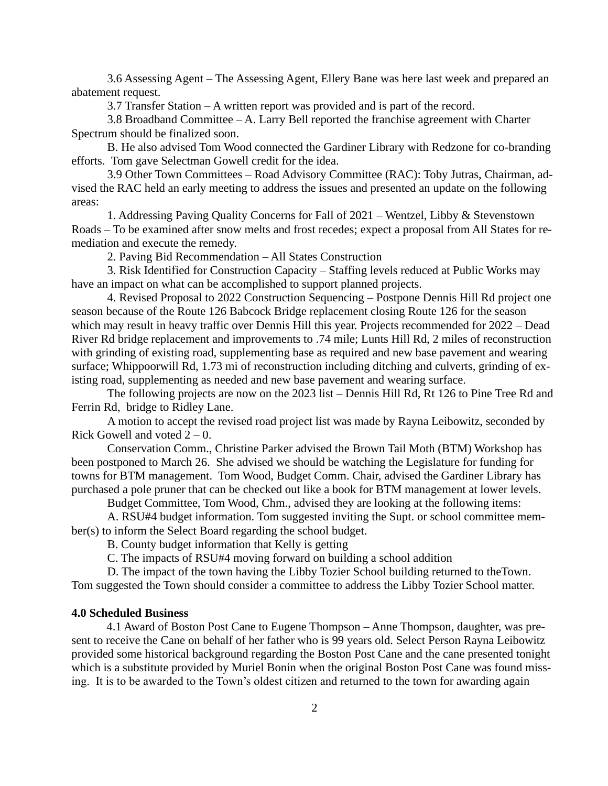3.6 Assessing Agent – The Assessing Agent, Ellery Bane was here last week and prepared an abatement request.

3.7 Transfer Station – A written report was provided and is part of the record.

3.8 Broadband Committee – A. Larry Bell reported the franchise agreement with Charter Spectrum should be finalized soon.

B. He also advised Tom Wood connected the Gardiner Library with Redzone for co-branding efforts. Tom gave Selectman Gowell credit for the idea.

3.9 Other Town Committees – Road Advisory Committee (RAC): Toby Jutras, Chairman, advised the RAC held an early meeting to address the issues and presented an update on the following areas:

1. Addressing Paving Quality Concerns for Fall of 2021 – Wentzel, Libby & Stevenstown Roads – To be examined after snow melts and frost recedes; expect a proposal from All States for remediation and execute the remedy.

2. Paving Bid Recommendation – All States Construction

3. Risk Identified for Construction Capacity – Staffing levels reduced at Public Works may have an impact on what can be accomplished to support planned projects.

4. Revised Proposal to 2022 Construction Sequencing – Postpone Dennis Hill Rd project one season because of the Route 126 Babcock Bridge replacement closing Route 126 for the season which may result in heavy traffic over Dennis Hill this year. Projects recommended for 2022 – Dead River Rd bridge replacement and improvements to .74 mile; Lunts Hill Rd, 2 miles of reconstruction with grinding of existing road, supplementing base as required and new base pavement and wearing surface; Whippoorwill Rd, 1.73 mi of reconstruction including ditching and culverts, grinding of existing road, supplementing as needed and new base pavement and wearing surface.

The following projects are now on the 2023 list – Dennis Hill Rd, Rt 126 to Pine Tree Rd and Ferrin Rd, bridge to Ridley Lane.

A motion to accept the revised road project list was made by Rayna Leibowitz, seconded by Rick Gowell and voted  $2 - 0$ .

Conservation Comm., Christine Parker advised the Brown Tail Moth (BTM) Workshop has been postponed to March 26. She advised we should be watching the Legislature for funding for towns for BTM management. Tom Wood, Budget Comm. Chair, advised the Gardiner Library has purchased a pole pruner that can be checked out like a book for BTM management at lower levels.

Budget Committee, Tom Wood, Chm., advised they are looking at the following items:

A. RSU#4 budget information. Tom suggested inviting the Supt. or school committee member(s) to inform the Select Board regarding the school budget.

B. County budget information that Kelly is getting

C. The impacts of RSU#4 moving forward on building a school addition

D. The impact of the town having the Libby Tozier School building returned to theTown. Tom suggested the Town should consider a committee to address the Libby Tozier School matter.

#### **4.0 Scheduled Business**

4.1 Award of Boston Post Cane to Eugene Thompson – Anne Thompson, daughter, was present to receive the Cane on behalf of her father who is 99 years old. Select Person Rayna Leibowitz provided some historical background regarding the Boston Post Cane and the cane presented tonight which is a substitute provided by Muriel Bonin when the original Boston Post Cane was found missing. It is to be awarded to the Town's oldest citizen and returned to the town for awarding again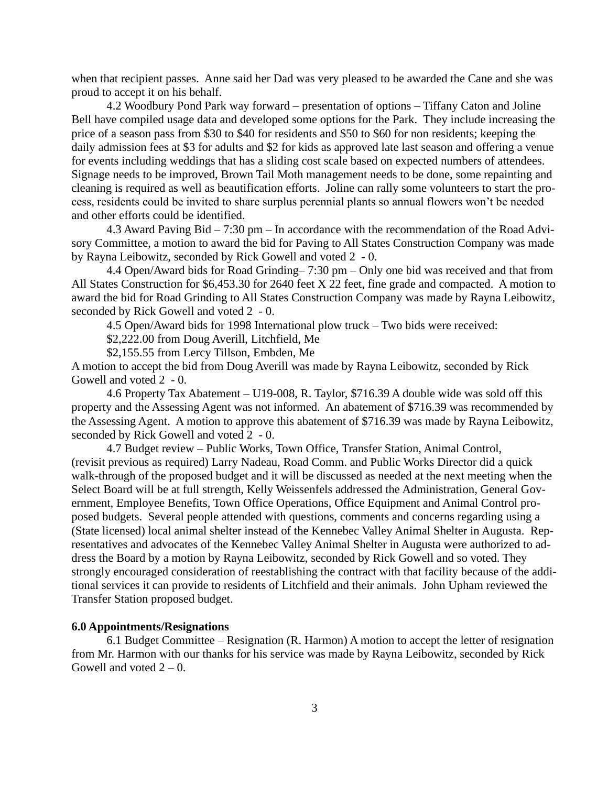when that recipient passes. Anne said her Dad was very pleased to be awarded the Cane and she was proud to accept it on his behalf.

4.2 Woodbury Pond Park way forward – presentation of options – Tiffany Caton and Joline Bell have compiled usage data and developed some options for the Park. They include increasing the price of a season pass from \$30 to \$40 for residents and \$50 to \$60 for non residents; keeping the daily admission fees at \$3 for adults and \$2 for kids as approved late last season and offering a venue for events including weddings that has a sliding cost scale based on expected numbers of attendees. Signage needs to be improved, Brown Tail Moth management needs to be done, some repainting and cleaning is required as well as beautification efforts. Joline can rally some volunteers to start the process, residents could be invited to share surplus perennial plants so annual flowers won't be needed and other efforts could be identified.

4.3 Award Paving Bid – 7:30 pm – In accordance with the recommendation of the Road Advisory Committee, a motion to award the bid for Paving to All States Construction Company was made by Rayna Leibowitz, seconded by Rick Gowell and voted 2 - 0.

4.4 Open/Award bids for Road Grinding– 7:30 pm – Only one bid was received and that from All States Construction for \$6,453.30 for 2640 feet X 22 feet, fine grade and compacted. A motion to award the bid for Road Grinding to All States Construction Company was made by Rayna Leibowitz, seconded by Rick Gowell and voted 2 - 0.

4.5 Open/Award bids for 1998 International plow truck – Two bids were received:

\$2,222.00 from Doug Averill, Litchfield, Me

\$2,155.55 from Lercy Tillson, Embden, Me

A motion to accept the bid from Doug Averill was made by Rayna Leibowitz, seconded by Rick Gowell and voted 2 - 0.

4.6 Property Tax Abatement – U19-008, R. Taylor, \$716.39 A double wide was sold off this property and the Assessing Agent was not informed. An abatement of \$716.39 was recommended by the Assessing Agent. A motion to approve this abatement of \$716.39 was made by Rayna Leibowitz, seconded by Rick Gowell and voted 2 - 0.

4.7 Budget review – Public Works, Town Office, Transfer Station, Animal Control, (revisit previous as required) Larry Nadeau, Road Comm. and Public Works Director did a quick walk-through of the proposed budget and it will be discussed as needed at the next meeting when the Select Board will be at full strength, Kelly Weissenfels addressed the Administration, General Government, Employee Benefits, Town Office Operations, Office Equipment and Animal Control proposed budgets. Several people attended with questions, comments and concerns regarding using a (State licensed) local animal shelter instead of the Kennebec Valley Animal Shelter in Augusta. Representatives and advocates of the Kennebec Valley Animal Shelter in Augusta were authorized to address the Board by a motion by Rayna Leibowitz, seconded by Rick Gowell and so voted. They strongly encouraged consideration of reestablishing the contract with that facility because of the additional services it can provide to residents of Litchfield and their animals. John Upham reviewed the Transfer Station proposed budget.

#### **6.0 Appointments/Resignations**

6.1 Budget Committee – Resignation (R. Harmon) A motion to accept the letter of resignation from Mr. Harmon with our thanks for his service was made by Rayna Leibowitz, seconded by Rick Gowell and voted  $2 - 0$ .